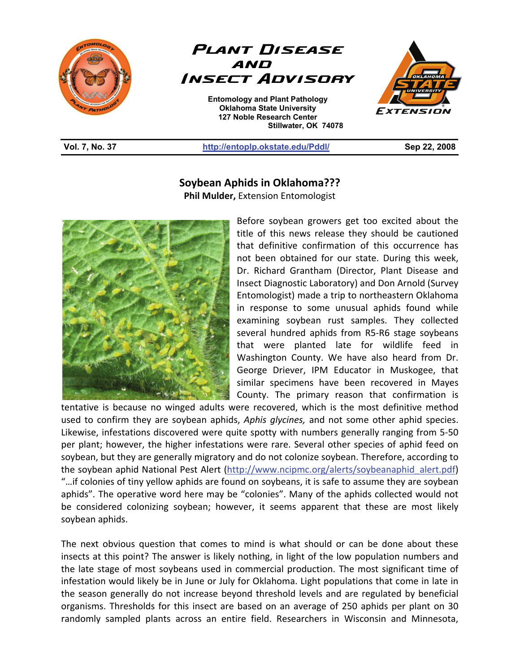



**Entomology and Plant Pathology Oklahoma State University 127 Noble Research Center Stillwater, OK 74078**  L



## **Vol. 7, No. 37 http://entoplp.okstate.edu/Pddl/ Sep 22, 2008**

## **Soybean Aphids in Oklahoma???**

**Phil Mulder,** Extension Entomologist



Before soybean growers get too excited about the title of this news release they should be cautioned that definitive confirmation of this occurrence has not been obtained for our state. During this week, Dr. Richard Grantham (Director, Plant Disease and Insect Diagnostic Laboratory) and Don Arnold (Survey Entomologist) made a trip to northeastern Oklahoma in response to some unusual aphids found while examining soybean rust samples. They collected several hundred aphids from R5-R6 stage soybeans that were planted late for wildlife feed in Washington County. We have also heard from Dr. George Driever, IPM Educator in Muskogee, that similar specimens have been recovered in Mayes County. The primary reason that confirmation is

tentative is because no winged adults were recovered, which is the most definitive method used to confirm they are soybean aphids, *Aphis glycines,* and not some other aphid species. Likewise, infestations discovered were quite spotty with numbers generally ranging from 5-50 per plant; however, the higher infestations were rare. Several other species of aphid feed on soybean, but they are generally migratory and do not colonize soybean. Therefore, according to the soybean aphid National Pest Alert (http://www.ncipmc.org/alerts/soybeanaphid\_alert.pdf) "…if colonies of tiny yellow aphids are found on soybeans, it is safe to assume they are soybean aphids". The operative word here may be "colonies". Many of the aphids collected would not be considered colonizing soybean; however, it seems apparent that these are most likely soybean aphids.

The next obvious question that comes to mind is what should or can be done about these insects at this point? The answer is likely nothing, in light of the low population numbers and the late stage of most soybeans used in commercial production. The most significant time of infestation would likely be in June or July for Oklahoma. Light populations that come in late in the season generally do not increase beyond threshold levels and are regulated by beneficial organisms. Thresholds for this insect are based on an average of 250 aphids per plant on 30 randomly sampled plants across an entire field. Researchers in Wisconsin and Minnesota,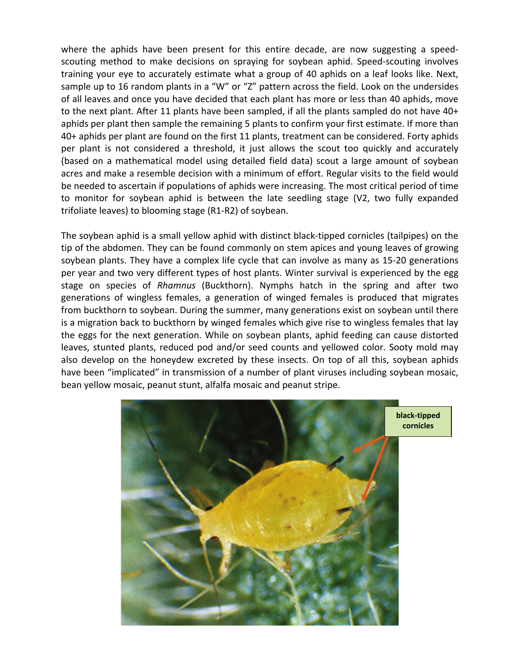where the aphids have been present for this entire decade, are now suggesting a speedscouting method to make decisions on spraying for soybean aphid. Speed-scouting involves training your eye to accurately estimate what a group of 40 aphids on a leaf looks like. Next, sample up to 16 random plants in a "W" or "Z" pattern across the field. Look on the undersides of all leaves and once you have decided that each plant has more or less than 40 aphids, move to the next plant. After 11 plants have been sampled, if all the plants sampled do not have 40+ aphids per plant then sample the remaining 5 plants to confirm your first estimate. If more than 40+ aphids per plant are found on the first 11 plants, treatment can be considered. Forty aphids per plant is not considered a threshold, it just allows the scout too quickly and accurately (based on a mathematical model using detailed field data) scout a large amount of soybean acres and make a resemble decision with a minimum of effort. Regular visits to the field would be needed to ascertain if populations of aphids were increasing. The most critical period of time to monitor for soybean aphid is between the late seedling stage (V2, two fully expanded trifoliate leaves) to blooming stage (R1-R2) of soybean.

The soybean aphid is a small yellow aphid with distinct black-tipped cornicles (tailpipes) on the tip of the abdomen. They can be found commonly on stem apices and young leaves of growing soybean plants. They have a complex life cycle that can involve as many as 15-20 generations per year and two very different types of host plants. Winter survival is experienced by the egg stage on species of *Rhamnus* (Buckthorn). Nymphs hatch in the spring and after two generations of wingless females, a generation of winged females is produced that migrates from buckthorn to soybean. During the summer, many generations exist on soybean until there is a migration back to buckthorn by winged females which give rise to wingless females that lay the eggs for the next generation. While on soybean plants, aphid feeding can cause distorted leaves, stunted plants, reduced pod and/or seed counts and yellowed color. Sooty mold may also develop on the honeydew excreted by these insects. On top of all this, soybean aphids have been "implicated" in transmission of a number of plant viruses including soybean mosaic, bean yellow mosaic, peanut stunt, alfalfa mosaic and peanut stripe.